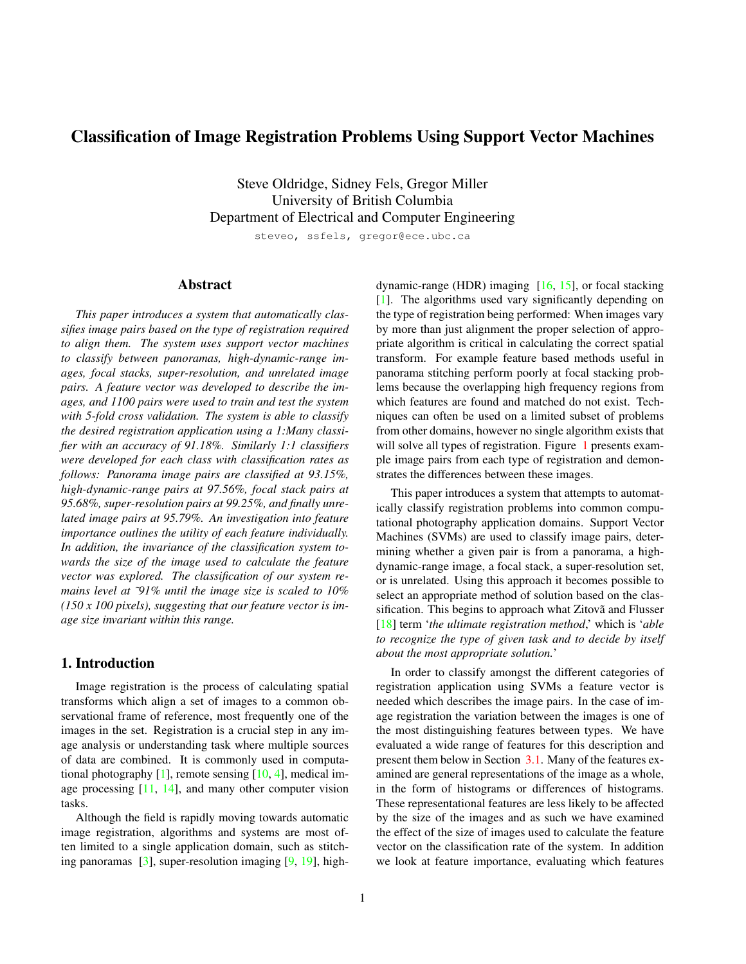# <span id="page-0-0"></span>Classification of Image Registration Problems Using Support Vector Machines

Steve Oldridge, Sidney Fels, Gregor Miller University of British Columbia Department of Electrical and Computer Engineering

steveo, ssfels, gregor@ece.ubc.ca

# Abstract

*This paper introduces a system that automatically classifies image pairs based on the type of registration required to align them. The system uses support vector machines to classify between panoramas, high-dynamic-range images, focal stacks, super-resolution, and unrelated image pairs. A feature vector was developed to describe the images, and 1100 pairs were used to train and test the system with 5-fold cross validation. The system is able to classify the desired registration application using a 1:Many classifier with an accuracy of 91.18%. Similarly 1:1 classifiers were developed for each class with classification rates as follows: Panorama image pairs are classified at 93.15%, high-dynamic-range pairs at 97.56%, focal stack pairs at 95.68%, super-resolution pairs at 99.25%, and finally unrelated image pairs at 95.79%. An investigation into feature importance outlines the utility of each feature individually. In addition, the invariance of the classification system towards the size of the image used to calculate the feature vector was explored. The classification of our system remains level at ˜91% until the image size is scaled to 10% (150 x 100 pixels), suggesting that our feature vector is image size invariant within this range.*

# 1. Introduction

Image registration is the process of calculating spatial transforms which align a set of images to a common observational frame of reference, most frequently one of the images in the set. Registration is a crucial step in any image analysis or understanding task where multiple sources of data are combined. It is commonly used in computational photography  $[1]$ , remote sensing  $[10, 4]$  $[10, 4]$  $[10, 4]$ , medical image processing [\[11,](#page-6-3) [14\]](#page-6-4), and many other computer vision tasks.

Although the field is rapidly moving towards automatic image registration, algorithms and systems are most often limited to a single application domain, such as stitching panoramas [\[3\]](#page-6-5), super-resolution imaging [\[9,](#page-6-6) [19\]](#page-6-7), highdynamic-range (HDR) imaging  $[16, 15]$  $[16, 15]$  $[16, 15]$ , or focal stacking [\[1\]](#page-6-0). The algorithms used vary significantly depending on the type of registration being performed: When images vary by more than just alignment the proper selection of appropriate algorithm is critical in calculating the correct spatial transform. For example feature based methods useful in panorama stitching perform poorly at focal stacking problems because the overlapping high frequency regions from which features are found and matched do not exist. Techniques can often be used on a limited subset of problems from other domains, however no single algorithm exists that will solve all types of registration. Figure [1](#page-1-0) presents example image pairs from each type of registration and demonstrates the differences between these images.

This paper introduces a system that attempts to automatically classify registration problems into common computational photography application domains. Support Vector Machines (SVMs) are used to classify image pairs, determining whether a given pair is from a panorama, a highdynamic-range image, a focal stack, a super-resolution set, or is unrelated. Using this approach it becomes possible to select an appropriate method of solution based on the classification. This begins to approach what Zitova and Flusser [\[18\]](#page-6-10) term '*the ultimate registration method*,' which is '*able to recognize the type of given task and to decide by itself about the most appropriate solution.*'

In order to classify amongst the different categories of registration application using SVMs a feature vector is needed which describes the image pairs. In the case of image registration the variation between the images is one of the most distinguishing features between types. We have evaluated a wide range of features for this description and present them below in Section [3.1.](#page-2-0) Many of the features examined are general representations of the image as a whole, in the form of histograms or differences of histograms. These representational features are less likely to be affected by the size of the images and as such we have examined the effect of the size of images used to calculate the feature vector on the classification rate of the system. In addition we look at feature importance, evaluating which features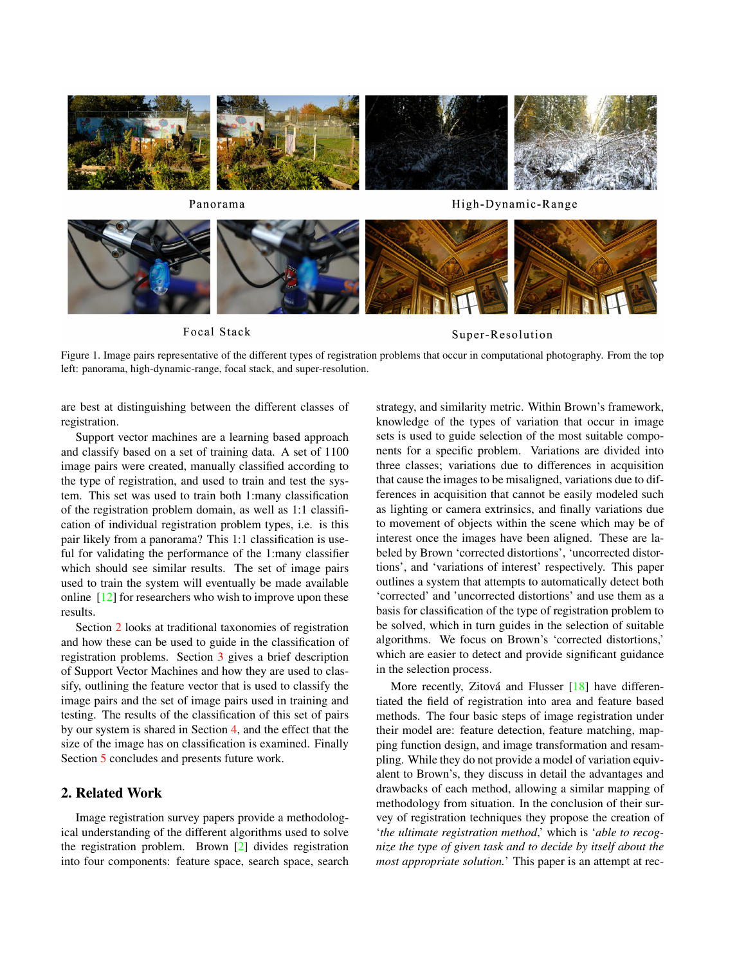<span id="page-1-2"></span>

Focal Stack

Super-Resolution

<span id="page-1-0"></span>Figure 1. Image pairs representative of the different types of registration problems that occur in computational photography. From the top left: panorama, high-dynamic-range, focal stack, and super-resolution.

are best at distinguishing between the different classes of registration.

Support vector machines are a learning based approach and classify based on a set of training data. A set of 1100 image pairs were created, manually classified according to the type of registration, and used to train and test the system. This set was used to train both 1:many classification of the registration problem domain, as well as 1:1 classification of individual registration problem types, i.e. is this pair likely from a panorama? This 1:1 classification is useful for validating the performance of the 1:many classifier which should see similar results. The set of image pairs used to train the system will eventually be made available online [\[12\]](#page-6-11) for researchers who wish to improve upon these results.

Section [2](#page-1-1) looks at traditional taxonomies of registration and how these can be used to guide in the classification of registration problems. Section [3](#page-2-1) gives a brief description of Support Vector Machines and how they are used to classify, outlining the feature vector that is used to classify the image pairs and the set of image pairs used in training and testing. The results of the classification of this set of pairs by our system is shared in Section [4,](#page-3-0) and the effect that the size of the image has on classification is examined. Finally Section [5](#page-5-0) concludes and presents future work.

# <span id="page-1-1"></span>2. Related Work

Image registration survey papers provide a methodological understanding of the different algorithms used to solve the registration problem. Brown [\[2\]](#page-6-12) divides registration into four components: feature space, search space, search strategy, and similarity metric. Within Brown's framework, knowledge of the types of variation that occur in image sets is used to guide selection of the most suitable components for a specific problem. Variations are divided into three classes; variations due to differences in acquisition that cause the images to be misaligned, variations due to differences in acquisition that cannot be easily modeled such as lighting or camera extrinsics, and finally variations due to movement of objects within the scene which may be of interest once the images have been aligned. These are labeled by Brown 'corrected distortions', 'uncorrected distortions', and 'variations of interest' respectively. This paper outlines a system that attempts to automatically detect both 'corrected' and 'uncorrected distortions' and use them as a basis for classification of the type of registration problem to be solved, which in turn guides in the selection of suitable algorithms. We focus on Brown's 'corrected distortions,' which are easier to detect and provide significant guidance in the selection process.

More recently, Zitová and Flusser  $[18]$  $[18]$  have differentiated the field of registration into area and feature based methods. The four basic steps of image registration under their model are: feature detection, feature matching, mapping function design, and image transformation and resampling. While they do not provide a model of variation equivalent to Brown's, they discuss in detail the advantages and drawbacks of each method, allowing a similar mapping of methodology from situation. In the conclusion of their survey of registration techniques they propose the creation of '*the ultimate registration method*,' which is '*able to recognize the type of given task and to decide by itself about the most appropriate solution.*' This paper is an attempt at rec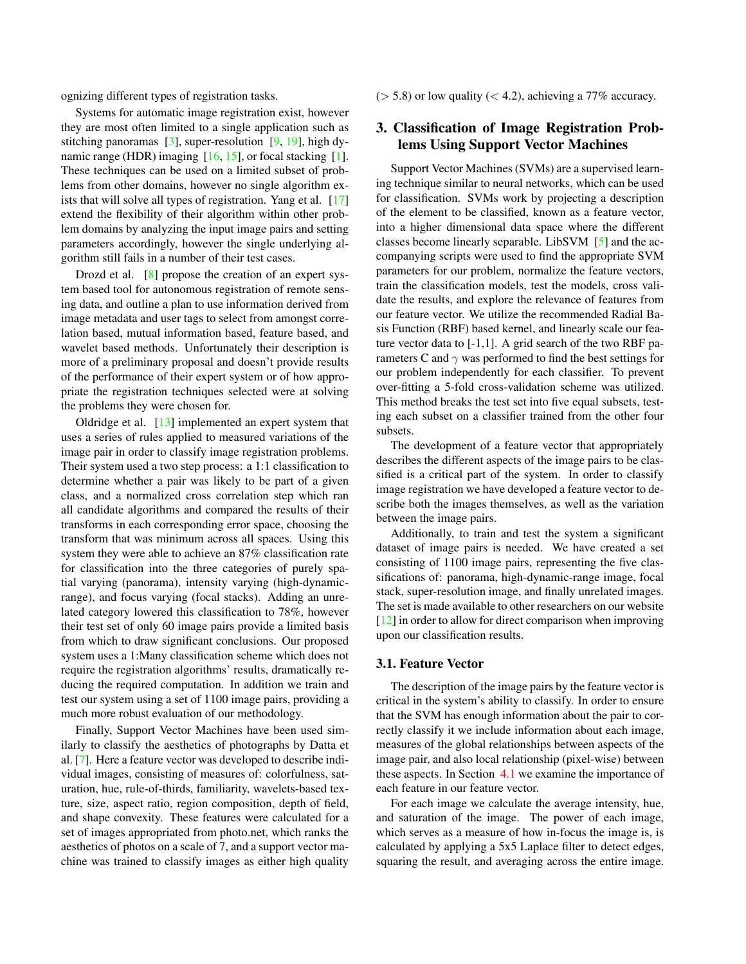<span id="page-2-2"></span>ognizing different types of registration tasks.

Systems for automatic image registration exist, however they are most often limited to a single application such as stitching panoramas  $[3]$ , super-resolution  $[9, 19]$  $[9, 19]$  $[9, 19]$ , high dynamic range (HDR) imaging  $[16, 15]$  $[16, 15]$  $[16, 15]$ , or focal stacking  $[1]$ . These techniques can be used on a limited subset of problems from other domains, however no single algorithm exists that will solve all types of registration. Yang et al. [\[17\]](#page-6-13) extend the flexibility of their algorithm within other problem domains by analyzing the input image pairs and setting parameters accordingly, however the single underlying algorithm still fails in a number of their test cases.

Drozd et al. [\[8\]](#page-6-14) propose the creation of an expert system based tool for autonomous registration of remote sensing data, and outline a plan to use information derived from image metadata and user tags to select from amongst correlation based, mutual information based, feature based, and wavelet based methods. Unfortunately their description is more of a preliminary proposal and doesn't provide results of the performance of their expert system or of how appropriate the registration techniques selected were at solving the problems they were chosen for.

Oldridge et al. [\[13\]](#page-6-15) implemented an expert system that uses a series of rules applied to measured variations of the image pair in order to classify image registration problems. Their system used a two step process: a 1:1 classification to determine whether a pair was likely to be part of a given class, and a normalized cross correlation step which ran all candidate algorithms and compared the results of their transforms in each corresponding error space, choosing the transform that was minimum across all spaces. Using this system they were able to achieve an 87% classification rate for classification into the three categories of purely spatial varying (panorama), intensity varying (high-dynamicrange), and focus varying (focal stacks). Adding an unrelated category lowered this classification to 78%, however their test set of only 60 image pairs provide a limited basis from which to draw significant conclusions. Our proposed system uses a 1:Many classification scheme which does not require the registration algorithms' results, dramatically reducing the required computation. In addition we train and test our system using a set of 1100 image pairs, providing a much more robust evaluation of our methodology.

Finally, Support Vector Machines have been used similarly to classify the aesthetics of photographs by Datta et al. [\[7\]](#page-6-16). Here a feature vector was developed to describe individual images, consisting of measures of: colorfulness, saturation, hue, rule-of-thirds, familiarity, wavelets-based texture, size, aspect ratio, region composition, depth of field, and shape convexity. These features were calculated for a set of images appropriated from photo.net, which ranks the aesthetics of photos on a scale of 7, and a support vector machine was trained to classify images as either high quality ( $>$  5.8) or low quality ( $<$  4.2), achieving a 77% accuracy.

# <span id="page-2-1"></span>3. Classification of Image Registration Problems Using Support Vector Machines

Support Vector Machines (SVMs) are a supervised learning technique similar to neural networks, which can be used for classification. SVMs work by projecting a description of the element to be classified, known as a feature vector, into a higher dimensional data space where the different classes become linearly separable. LibSVM [\[5\]](#page-6-17) and the accompanying scripts were used to find the appropriate SVM parameters for our problem, normalize the feature vectors, train the classification models, test the models, cross validate the results, and explore the relevance of features from our feature vector. We utilize the recommended Radial Basis Function (RBF) based kernel, and linearly scale our feature vector data to [-1,1]. A grid search of the two RBF parameters C and  $\gamma$  was performed to find the best settings for our problem independently for each classifier. To prevent over-fitting a 5-fold cross-validation scheme was utilized. This method breaks the test set into five equal subsets, testing each subset on a classifier trained from the other four subsets.

The development of a feature vector that appropriately describes the different aspects of the image pairs to be classified is a critical part of the system. In order to classify image registration we have developed a feature vector to describe both the images themselves, as well as the variation between the image pairs.

Additionally, to train and test the system a significant dataset of image pairs is needed. We have created a set consisting of 1100 image pairs, representing the five classifications of: panorama, high-dynamic-range image, focal stack, super-resolution image, and finally unrelated images. The set is made available to other researchers on our website [\[12\]](#page-6-11) in order to allow for direct comparison when improving upon our classification results.

#### <span id="page-2-0"></span>3.1. Feature Vector

The description of the image pairs by the feature vector is critical in the system's ability to classify. In order to ensure that the SVM has enough information about the pair to correctly classify it we include information about each image, measures of the global relationships between aspects of the image pair, and also local relationship (pixel-wise) between these aspects. In Section [4.1](#page-4-0) we examine the importance of each feature in our feature vector.

For each image we calculate the average intensity, hue, and saturation of the image. The power of each image, which serves as a measure of how in-focus the image is, is calculated by applying a 5x5 Laplace filter to detect edges, squaring the result, and averaging across the entire image.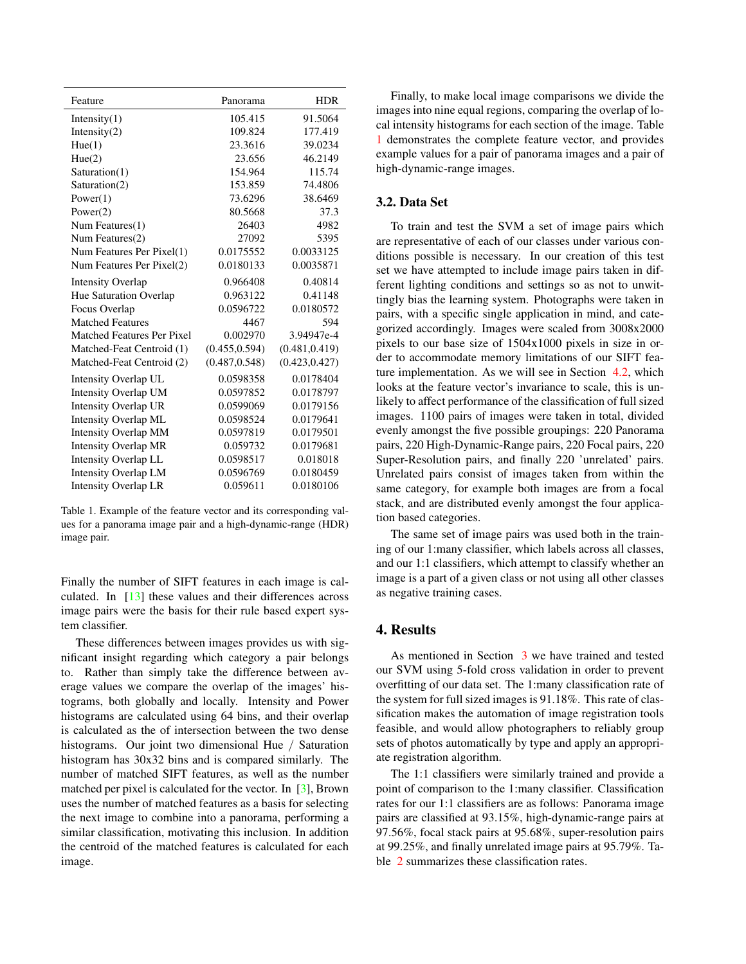<span id="page-3-2"></span>

| Feature                           | Panorama       | <b>HDR</b>     |
|-----------------------------------|----------------|----------------|
| Intensity $(1)$                   | 105.415        | 91.5064        |
| Intensity $(2)$                   | 109.824        | 177.419        |
| Hue(1)                            | 23.3616        | 39.0234        |
| Hue(2)                            | 23.656         | 46.2149        |
| Saturation(1)                     | 154.964        | 115.74         |
| Saturation(2)                     | 153.859        | 74.4806        |
| Power(1)                          | 73.6296        | 38.6469        |
| Power $(2)$                       | 80.5668        | 37.3           |
| Num Features(1)                   | 26403          | 4982           |
| Num Features(2)                   | 27092          | 5395           |
| Num Features Per Pixel(1)         | 0.0175552      | 0.0033125      |
| Num Features Per Pixel(2)         | 0.0180133      | 0.0035871      |
| <b>Intensity Overlap</b>          | 0.966408       | 0.40814        |
| <b>Hue Saturation Overlap</b>     | 0.963122       | 0.41148        |
| Focus Overlap                     | 0.0596722      | 0.0180572      |
| <b>Matched Features</b>           | 4467           | 594            |
| <b>Matched Features Per Pixel</b> | 0.002970       | 3.94947e-4     |
| Matched-Feat Centroid (1)         | (0.455, 0.594) | (0.481, 0.419) |
| Matched-Feat Centroid (2)         | (0.487, 0.548) | (0.423, 0.427) |
| Intensity Overlap UL              | 0.0598358      | 0.0178404      |
| <b>Intensity Overlap UM</b>       | 0.0597852      | 0.0178797      |
| <b>Intensity Overlap UR</b>       | 0.0599069      | 0.0179156      |
| <b>Intensity Overlap ML</b>       | 0.0598524      | 0.0179641      |
| <b>Intensity Overlap MM</b>       | 0.0597819      | 0.0179501      |
| Intensity Overlap MR              | 0.059732       | 0.0179681      |
| Intensity Overlap LL              | 0.0598517      | 0.018018       |
| <b>Intensity Overlap LM</b>       | 0.0596769      | 0.0180459      |
| <b>Intensity Overlap LR</b>       | 0.059611       | 0.0180106      |

<span id="page-3-1"></span>Table 1. Example of the feature vector and its corresponding values for a panorama image pair and a high-dynamic-range (HDR) image pair.

Finally the number of SIFT features in each image is calculated. In [\[13\]](#page-6-15) these values and their differences across image pairs were the basis for their rule based expert system classifier.

These differences between images provides us with significant insight regarding which category a pair belongs to. Rather than simply take the difference between average values we compare the overlap of the images' histograms, both globally and locally. Intensity and Power histograms are calculated using 64 bins, and their overlap is calculated as the of intersection between the two dense histograms. Our joint two dimensional Hue / Saturation histogram has 30x32 bins and is compared similarly. The number of matched SIFT features, as well as the number matched per pixel is calculated for the vector. In [\[3\]](#page-6-5), Brown uses the number of matched features as a basis for selecting the next image to combine into a panorama, performing a similar classification, motivating this inclusion. In addition the centroid of the matched features is calculated for each image.

Finally, to make local image comparisons we divide the images into nine equal regions, comparing the overlap of local intensity histograms for each section of the image. Table [1](#page-3-1) demonstrates the complete feature vector, and provides example values for a pair of panorama images and a pair of high-dynamic-range images.

# 3.2. Data Set

To train and test the SVM a set of image pairs which are representative of each of our classes under various conditions possible is necessary. In our creation of this test set we have attempted to include image pairs taken in different lighting conditions and settings so as not to unwittingly bias the learning system. Photographs were taken in pairs, with a specific single application in mind, and categorized accordingly. Images were scaled from 3008x2000 pixels to our base size of 1504x1000 pixels in size in order to accommodate memory limitations of our SIFT feature implementation. As we will see in Section [4.2,](#page-4-1) which looks at the feature vector's invariance to scale, this is unlikely to affect performance of the classification of full sized images. 1100 pairs of images were taken in total, divided evenly amongst the five possible groupings: 220 Panorama pairs, 220 High-Dynamic-Range pairs, 220 Focal pairs, 220 Super-Resolution pairs, and finally 220 'unrelated' pairs. Unrelated pairs consist of images taken from within the same category, for example both images are from a focal stack, and are distributed evenly amongst the four application based categories.

The same set of image pairs was used both in the training of our 1:many classifier, which labels across all classes, and our 1:1 classifiers, which attempt to classify whether an image is a part of a given class or not using all other classes as negative training cases.

# <span id="page-3-0"></span>4. Results

As mentioned in Section [3](#page-2-1) we have trained and tested our SVM using 5-fold cross validation in order to prevent overfitting of our data set. The 1:many classification rate of the system for full sized images is 91.18%. This rate of classification makes the automation of image registration tools feasible, and would allow photographers to reliably group sets of photos automatically by type and apply an appropriate registration algorithm.

The 1:1 classifiers were similarly trained and provide a point of comparison to the 1:many classifier. Classification rates for our 1:1 classifiers are as follows: Panorama image pairs are classified at 93.15%, high-dynamic-range pairs at 97.56%, focal stack pairs at 95.68%, super-resolution pairs at 99.25%, and finally unrelated image pairs at 95.79%. Table [2](#page-4-2) summarizes these classification rates.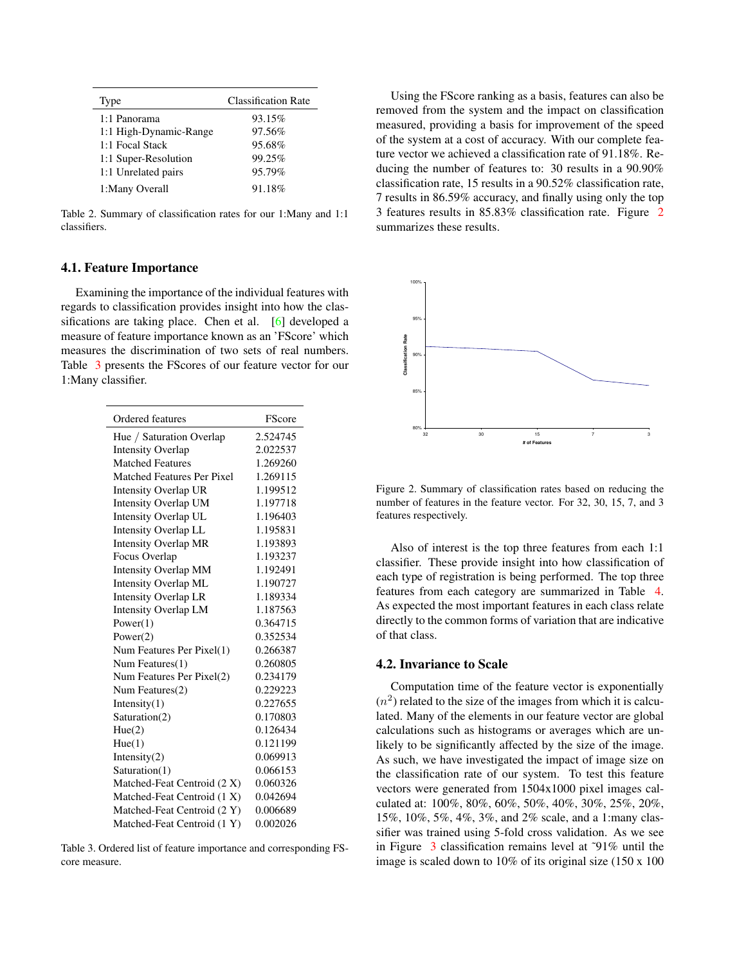<span id="page-4-5"></span>

| Type                   | <b>Classification Rate</b> |
|------------------------|----------------------------|
| 1:1 Panorama           | 93.15%                     |
| 1:1 High-Dynamic-Range | 97.56%                     |
| 1:1 Focal Stack        | 95.68%                     |
| 1:1 Super-Resolution   | 99.25%                     |
| 1:1 Unrelated pairs    | 95.79%                     |
| 1:Many Overall         | 91.18%                     |

<span id="page-4-2"></span>Table 2. Summary of classification rates for our 1:Many and 1:1 classifiers.

# <span id="page-4-0"></span>4.1. Feature Importance

Examining the importance of the individual features with regards to classification provides insight into how the classifications are taking place. Chen et al. [\[6\]](#page-6-18) developed a measure of feature importance known as an 'FScore' which measures the discrimination of two sets of real numbers. Table [3](#page-4-3) presents the FScores of our feature vector for our 1:Many classifier.

| <b>Ordered features</b>     | <b>FScore</b> |
|-----------------------------|---------------|
| Hue / Saturation Overlap    | 2.524745      |
| <b>Intensity Overlap</b>    | 2.022537      |
| <b>Matched Features</b>     | 1.269260      |
| Matched Features Per Pixel  | 1.269115      |
| <b>Intensity Overlap UR</b> | 1.199512      |
| <b>Intensity Overlap UM</b> | 1.197718      |
| Intensity Overlap UL        | 1.196403      |
| Intensity Overlap LL        | 1.195831      |
| <b>Intensity Overlap MR</b> | 1.193893      |
| Focus Overlap               | 1.193237      |
| <b>Intensity Overlap MM</b> | 1.192491      |
| Intensity Overlap ML        | 1.190727      |
| <b>Intensity Overlap LR</b> | 1.189334      |
| <b>Intensity Overlap LM</b> | 1.187563      |
| Power(1)                    | 0.364715      |
| Power $(2)$                 | 0.352534      |
| Num Features Per Pixel(1)   | 0.266387      |
| Num Features(1)             | 0.260805      |
| Num Features Per Pixel(2)   | 0.234179      |
| Num Features(2)             | 0.229223      |
| Intensity(1)                | 0.227655      |
| Saturation(2)               | 0.170803      |
| Hue(2)                      | 0.126434      |
| Hue(1)                      | 0.121199      |
| Intensity $(2)$             | 0.069913      |
| Saturation(1)               | 0.066153      |
| Matched-Feat Centroid (2 X) | 0.060326      |
| Matched-Feat Centroid (1 X) | 0.042694      |
| Matched-Feat Centroid (2 Y) | 0.006689      |
| Matched-Feat Centroid (1 Y) | 0.002026      |

<span id="page-4-3"></span>Table 3. Ordered list of feature importance and corresponding FScore measure.

Using the FScore ranking as a basis, features can also be removed from the system and the impact on classification measured, providing a basis for improvement of the speed of the system at a cost of accuracy. With our complete feature vector we achieved a classification rate of 91.18%. Reducing the number of features to: 30 results in a 90.90% classification rate, 15 results in a 90.52% classification rate, 7 results in 86.59% accuracy, and finally using only the top 3 features results in 85.83% classification rate. Figure [2](#page-4-4) summarizes these results.



<span id="page-4-4"></span>Figure 2. Summary of classification rates based on reducing the number of features in the feature vector. For 32, 30, 15, 7, and 3 features respectively.

Also of interest is the top three features from each 1:1 classifier. These provide insight into how classification of each type of registration is being performed. The top three features from each category are summarized in Table [4.](#page-5-1) As expected the most important features in each class relate directly to the common forms of variation that are indicative of that class.

#### <span id="page-4-1"></span>4.2. Invariance to Scale

Computation time of the feature vector is exponentially  $(n<sup>2</sup>)$  related to the size of the images from which it is calculated. Many of the elements in our feature vector are global calculations such as histograms or averages which are unlikely to be significantly affected by the size of the image. As such, we have investigated the impact of image size on the classification rate of our system. To test this feature vectors were generated from 1504x1000 pixel images calculated at: 100%, 80%, 60%, 50%, 40%, 30%, 25%, 20%, 15%, 10%, 5%, 4%, 3%, and 2% scale, and a 1:many classifier was trained using 5-fold cross validation. As we see in Figure [3](#page-5-2) classification remains level at ˜91% until the image is scaled down to 10% of its original size (150 x 100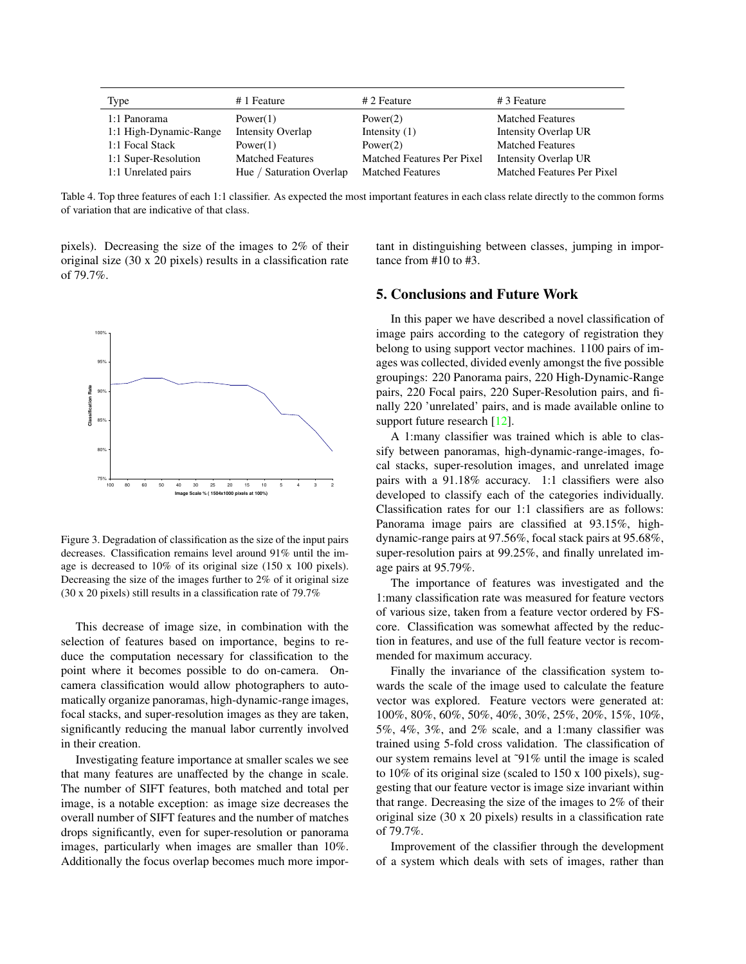<span id="page-5-3"></span>

| Type                   | # 1 Feature              | # 2 Feature                | # 3 Feature                |
|------------------------|--------------------------|----------------------------|----------------------------|
| 1:1 Panorama           | Power $(1)$              | Power $(2)$                | <b>Matched Features</b>    |
| 1:1 High-Dynamic-Range | Intensity Overlap        | Intensity $(1)$            | Intensity Overlap UR       |
| 1:1 Focal Stack        | Power $(1)$              | Power $(2)$                | <b>Matched Features</b>    |
| 1:1 Super-Resolution   | <b>Matched Features</b>  | Matched Features Per Pixel | Intensity Overlap UR       |
| 1:1 Unrelated pairs    | Hue / Saturation Overlap | <b>Matched Features</b>    | Matched Features Per Pixel |

<span id="page-5-1"></span>Table 4. Top three features of each 1:1 classifier. As expected the most important features in each class relate directly to the common forms of variation that are indicative of that class.

pixels). Decreasing the size of the images to 2% of their original size (30 x 20 pixels) results in a classification rate of 79.7%.





<span id="page-5-2"></span>Figure 3. Degradation of classification as the size of the input pairs decreases. Classification remains level around 91% until the image is decreased to 10% of its original size (150 x 100 pixels). Decreasing the size of the images further to 2% of it original size (30 x 20 pixels) still results in a classification rate of 79.7%

This decrease of image size, in combination with the selection of features based on importance, begins to reduce the computation necessary for classification to the point where it becomes possible to do on-camera. Oncamera classification would allow photographers to automatically organize panoramas, high-dynamic-range images, focal stacks, and super-resolution images as they are taken, significantly reducing the manual labor currently involved in their creation.

Investigating feature importance at smaller scales we see that many features are unaffected by the change in scale. The number of SIFT features, both matched and total per image, is a notable exception: as image size decreases the overall number of SIFT features and the number of matches drops significantly, even for super-resolution or panorama images, particularly when images are smaller than 10%. Additionally the focus overlap becomes much more impor-

#### <span id="page-5-0"></span>5. Conclusions and Future Work

In this paper we have described a novel classification of image pairs according to the category of registration they belong to using support vector machines. 1100 pairs of images was collected, divided evenly amongst the five possible groupings: 220 Panorama pairs, 220 High-Dynamic-Range pairs, 220 Focal pairs, 220 Super-Resolution pairs, and finally 220 'unrelated' pairs, and is made available online to support future research [\[12\]](#page-6-11).

A 1:many classifier was trained which is able to classify between panoramas, high-dynamic-range-images, focal stacks, super-resolution images, and unrelated image pairs with a 91.18% accuracy. 1:1 classifiers were also developed to classify each of the categories individually. Classification rates for our 1:1 classifiers are as follows: Panorama image pairs are classified at 93.15%, highdynamic-range pairs at 97.56%, focal stack pairs at 95.68%, super-resolution pairs at 99.25%, and finally unrelated image pairs at 95.79%.

The importance of features was investigated and the 1:many classification rate was measured for feature vectors of various size, taken from a feature vector ordered by FScore. Classification was somewhat affected by the reduction in features, and use of the full feature vector is recommended for maximum accuracy.

Finally the invariance of the classification system towards the scale of the image used to calculate the feature vector was explored. Feature vectors were generated at: 100%, 80%, 60%, 50%, 40%, 30%, 25%, 20%, 15%, 10%, 5%, 4%, 3%, and 2% scale, and a 1:many classifier was trained using 5-fold cross validation. The classification of our system remains level at ˜91% until the image is scaled to 10% of its original size (scaled to 150 x 100 pixels), suggesting that our feature vector is image size invariant within that range. Decreasing the size of the images to 2% of their original size (30 x 20 pixels) results in a classification rate of 79.7%.

Improvement of the classifier through the development of a system which deals with sets of images, rather than